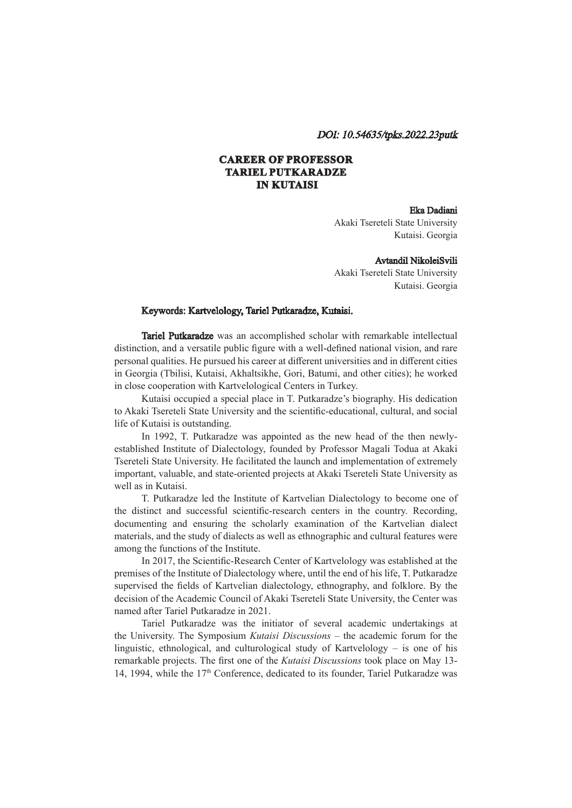## DOI: 10.54635/tpks.2022.23putk

# **CAREER OF PROFESSOR TARIEL PUTKARADZE IN KUTAISI**

### Eka Dadiani

Akaki Tsereteli State University Kutaisi. Georgia

#### Avtandil NikoleiSvili

Akaki Tsereteli State University Kutaisi. Georgia

## Keywords: Kartvelology, Tariel Putkaradze, Kutaisi.

Tariel Putkaradze was an accomplished scholar with remarkable intellectual distinction, and a versatile public figure with a well-defined national vision, and rare personal qualities. He pursued his career at different universities and in different cities in Georgia (Tbilisi, Kutaisi, Akhaltsikhe, Gori, Batumi, and other cities); he worked in close cooperation with Kartvelological Centers in Turkey.

Kutaisi occupied a special place in T. Putkaradze's biography. His dedication to Akaki Tsereteli State University and the scientific-educational, cultural, and social life of Kutaisi is outstanding.

In 1992, T. Putkaradze was appointed as the new head of the then newlyestablished Institute of Dialectology, founded by Professor Magali Todua at Akaki Tsereteli State University. He facilitated the launch and implementation of extremely important, valuable, and state-oriented projects at Akaki Tsereteli State University as well as in Kutaisi.

T. Putkaradze led the Institute of Kartvelian Dialectology to become one of the distinct and successful scientific-research centers in the country. Recording, documenting and ensuring the scholarly examination of the Kartvelian dialect materials, and the study of dialects as well as ethnographic and cultural features were among the functions of the Institute.

In 2017, the Scientific-Research Center of Kartvelology was established at the premises of the Institute of Dialectology where, until the end of his life, T. Putkaradze supervised the fields of Kartvelian dialectology, ethnography, and folklore. By the decision of the Academic Council of Akaki Tsereteli State University, the Center was named after Tariel Putkaradze in 2021.

Tariel Putkaradze was the initiator of several academic undertakings at the University. The Symposium *Kutaisi Discussions* – the academic forum for the linguistic, ethnological, and culturological study of Kartvelology – is one of his remarkable projects. The first one of the *Kutaisi Discussions* took place on May 13- 14, 1994, while the 17th Conference, dedicated to its founder, Tariel Putkaradze was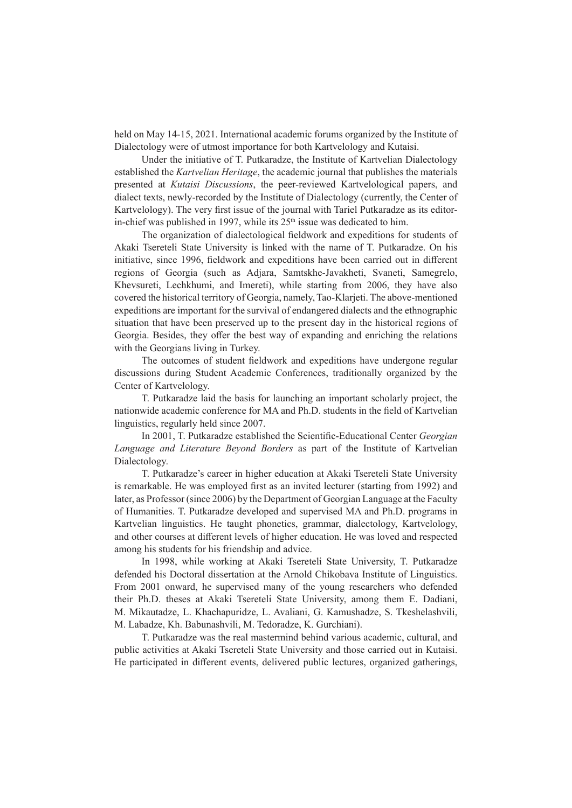held on May 14-15, 2021. International academic forums organized by the Institute of Dialectology were of utmost importance for both Kartvelology and Kutaisi.

Under the initiative of T. Putkaradze, the Institute of Kartvelian Dialectology established the *Kartvelian Heritage*, the academic journal that publishes the materials presented at *Kutaisi Discussions*, the peer-reviewed Kartvelological papers, and dialect texts, newly-recorded by the Institute of Dialectology (currently, the Center of Kartvelology). The very first issue of the journal with Tariel Putkaradze as its editorin-chief was published in 1997, while its  $25<sup>th</sup>$  issue was dedicated to him.

The organization of dialectological fieldwork and expeditions for students of Akaki Tsereteli State University is linked with the name of T. Putkaradze. On his initiative, since 1996, fieldwork and expeditions have been carried out in different regions of Georgia (such as Adjara, Samtskhe-Javakheti, Svaneti, Samegrelo, Khevsureti, Lechkhumi, and Imereti), while starting from 2006, they have also covered the historical territory of Georgia, namely, Tao-Klarjeti. The above-mentioned expeditions are important for the survival of endangered dialects and the ethnographic situation that have been preserved up to the present day in the historical regions of Georgia. Besides, they offer the best way of expanding and enriching the relations with the Georgians living in Turkey.

The outcomes of student fieldwork and expeditions have undergone regular discussions during Student Academic Conferences, traditionally organized by the Center of Kartvelology.

T. Putkaradze laid the basis for launching an important scholarly project, the nationwide academic conference for MA and Ph.D. students in the field of Kartvelian linguistics, regularly held since 2007.

In 2001, T. Putkaradze established the Scientific-Educational Center *Georgian Language and Literature Beyond Borders* as part of the Institute of Kartvelian Dialectology.

T. Putkaradze's career in higher education at Akaki Tsereteli State University is remarkable. He was employed first as an invited lecturer (starting from 1992) and later, as Professor (since 2006) by the Department of Georgian Language at the Faculty of Humanities. T. Putkaradze developed and supervised MA and Ph.D. programs in Kartvelian linguistics. He taught phonetics, grammar, dialectology, Kartvelology, and other courses at different levels of higher education. He was loved and respected among his students for his friendship and advice.

In 1998, while working at Akaki Tsereteli State University, T. Putkaradze defended his Doctoral dissertation at the Arnold Chikobava Institute of Linguistics. From 2001 onward, he supervised many of the young researchers who defended their Ph.D. theses at Akaki Tsereteli State University, among them E. Dadiani, M. Mikautadze, L. Khachapuridze, L. Avaliani, G. Kamushadze, S. Tkeshelashvili, M. Labadze, Kh. Babunashvili, M. Tedoradze, K. Gurchiani).

T. Putkaradze was the real mastermind behind various academic, cultural, and public activities at Akaki Tsereteli State University and those carried out in Kutaisi. He participated in different events, delivered public lectures, organized gatherings,